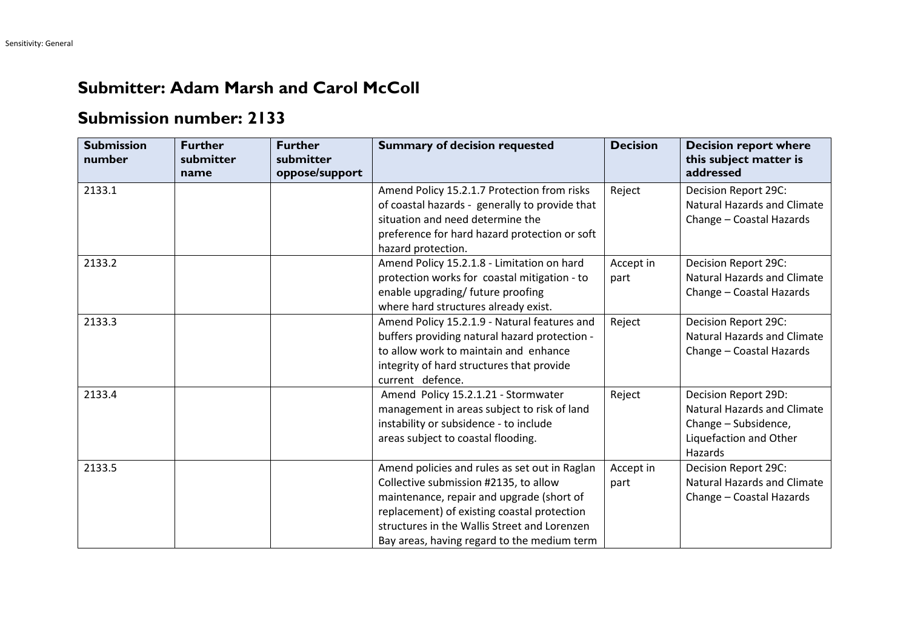## **Submitter: Adam Marsh and Carol McColl**

## **Submission number: 2133**

| <b>Submission</b><br>number | <b>Further</b><br>submitter<br>name | <b>Further</b><br>submitter<br>oppose/support | <b>Summary of decision requested</b>                                                                                                                                                                                                                                              | <b>Decision</b>   | <b>Decision report where</b><br>this subject matter is<br>addressed                                                     |
|-----------------------------|-------------------------------------|-----------------------------------------------|-----------------------------------------------------------------------------------------------------------------------------------------------------------------------------------------------------------------------------------------------------------------------------------|-------------------|-------------------------------------------------------------------------------------------------------------------------|
| 2133.1                      |                                     |                                               | Amend Policy 15.2.1.7 Protection from risks<br>of coastal hazards - generally to provide that<br>situation and need determine the<br>preference for hard hazard protection or soft<br>hazard protection.                                                                          | Reject            | Decision Report 29C:<br><b>Natural Hazards and Climate</b><br>Change - Coastal Hazards                                  |
| 2133.2                      |                                     |                                               | Amend Policy 15.2.1.8 - Limitation on hard<br>protection works for coastal mitigation - to<br>enable upgrading/ future proofing<br>where hard structures already exist.                                                                                                           | Accept in<br>part | Decision Report 29C:<br><b>Natural Hazards and Climate</b><br>Change - Coastal Hazards                                  |
| 2133.3                      |                                     |                                               | Amend Policy 15.2.1.9 - Natural features and<br>buffers providing natural hazard protection -<br>to allow work to maintain and enhance<br>integrity of hard structures that provide<br>current defence.                                                                           | Reject            | Decision Report 29C:<br><b>Natural Hazards and Climate</b><br>Change - Coastal Hazards                                  |
| 2133.4                      |                                     |                                               | Amend Policy 15.2.1.21 - Stormwater<br>management in areas subject to risk of land<br>instability or subsidence - to include<br>areas subject to coastal flooding.                                                                                                                | Reject            | Decision Report 29D:<br><b>Natural Hazards and Climate</b><br>Change - Subsidence,<br>Liquefaction and Other<br>Hazards |
| 2133.5                      |                                     |                                               | Amend policies and rules as set out in Raglan<br>Collective submission #2135, to allow<br>maintenance, repair and upgrade (short of<br>replacement) of existing coastal protection<br>structures in the Wallis Street and Lorenzen<br>Bay areas, having regard to the medium term | Accept in<br>part | Decision Report 29C:<br><b>Natural Hazards and Climate</b><br>Change - Coastal Hazards                                  |